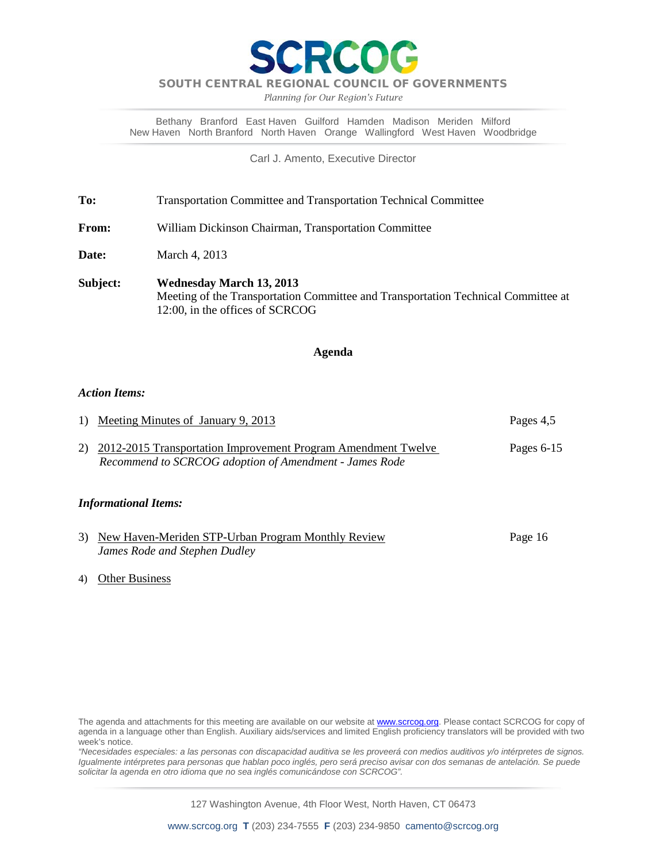

*Planning for Our Region's Future*

Bethany Branford East Haven Guilford Hamden Madison Meriden Milford New Haven North Branford North Haven Orange Wallingford West Haven Woodbridge

Carl J. Amento, Executive Director

**To:** Transportation Committee and Transportation Technical Committee

**From:** William Dickinson Chairman, Transportation Committee

**Date:** March 4, 2013

**Subject: Wednesday March 13, 2013** Meeting of the Transportation Committee and Transportation Technical Committee at 12:00, in the offices of SCRCOG

#### **Agenda**

#### *Action Items:*

| 1) Meeting Minutes of January 9, 2013                                                                                      | Pages 4,5    |
|----------------------------------------------------------------------------------------------------------------------------|--------------|
| 2) 2012-2015 Transportation Improvement Program Amendment Twelve<br>Recommend to SCRCOG adoption of Amendment - James Rode | Pages $6-15$ |

### *Informational Items:*

| 3) New Haven-Meriden STP-Urban Program Monthly Review | Page 16 |
|-------------------------------------------------------|---------|
| James Rode and Stephen Dudley                         |         |

#### 4) Other Business

*"Necesidades especiales: a las personas con discapacidad auditiva se les proveerá con medios auditivos y/o intérpretes de signos. Igualmente intérpretes para personas que hablan poco inglés, pero será preciso avisar con dos semanas de antelación. Se puede solicitar la agenda en otro idioma que no sea inglés comunicándose con SCRCOG".*

127 Washington Avenue, 4th Floor West, North Haven, CT 06473

The agenda and attachments for this meeting are available on our website at **www.scrcog.org**. Please contact SCRCOG for copy of agenda in a language other than English. Auxiliary aids/services and limited English proficiency translators will be provided with two week's notice.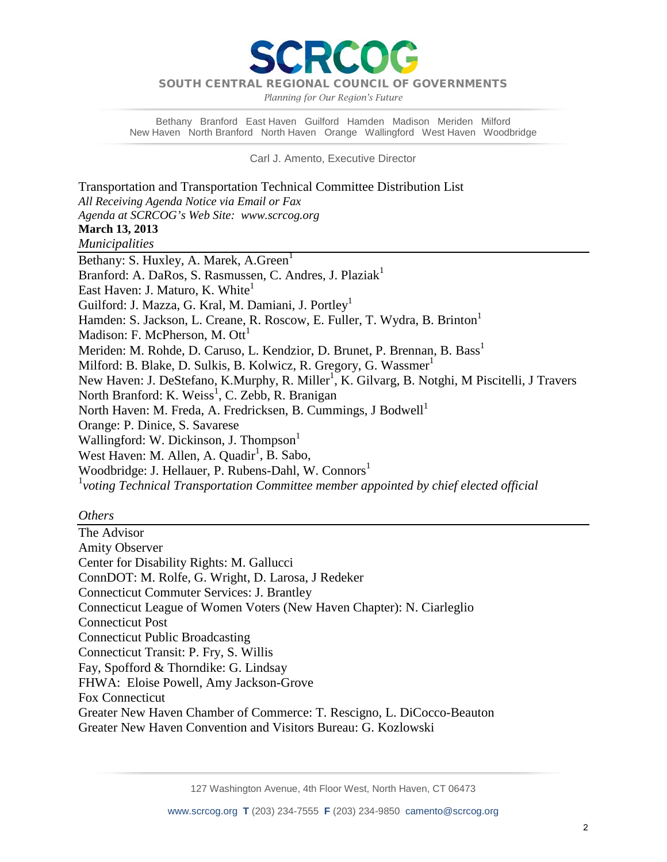DA

*Planning for Our Region's Future*

Bethany Branford East Haven Guilford Hamden Madison Meriden Milford New Haven North Branford North Haven Orange Wallingford West Haven Woodbridge

Carl J. Amento, Executive Director

Transportation and Transportation Technical Committee Distribution List *All Receiving Agenda Notice via Email or Fax Agenda at SCRCOG's Web Site: www.scrcog.org*  **March 13, 2013**  *Municipalities*  Bethany: S. Huxley, A. Marek, A. Green<sup>1</sup> Branford: A. DaRos, S. Rasmussen, C. Andres, J. Plaziak<sup>1</sup> East Haven: J. Maturo, K. White<sup>1</sup> Guilford: J. Mazza, G. Kral, M. Damiani, J. Portley<sup>1</sup> Hamden: S. Jackson, L. Creane, R. Roscow, E. Fuller, T. Wydra, B. Brinton<sup>1</sup> Madison: F. McPherson, M.  $\text{Out}^1$ Meriden: M. Rohde, D. Caruso, L. Kendzior, D. Brunet, P. Brennan, B. Bass<sup>1</sup> Milford: B. Blake, D. Sulkis, B. Kolwicz, R. Gregory, G. Wassmer<sup>1</sup> New Haven: J. DeStefano, K.Murphy, R. Miller<sup>1</sup>, K. Gilvarg, B. Notghi, M Piscitelli, J Travers North Branford: K. Weiss<sup>1</sup>, C. Zebb, R. Branigan North Haven: M. Freda, A. Fredricksen, B. Cummings, J Bodwell<sup>1</sup> Orange: P. Dinice, S. Savarese Wallingford: W. Dickinson, J. Thompson<sup>1</sup> West Haven: M. Allen, A. Quadir<sup>1</sup>, B. Sabo, Woodbridge: J. Hellauer, P. Rubens-Dahl, W. Connors<sup>1</sup> 1 *voting Technical Transportation Committee member appointed by chief elected official*

#### *Others*

The Advisor Amity Observer Center for Disability Rights: M. Gallucci ConnDOT: M. Rolfe, G. Wright, D. Larosa, J Redeker Connecticut Commuter Services: J. Brantley Connecticut League of Women Voters (New Haven Chapter): N. Ciarleglio Connecticut Post Connecticut Public Broadcasting Connecticut Transit: P. Fry, S. Willis Fay, Spofford & Thorndike: G. Lindsay FHWA: Eloise Powell, Amy Jackson-Grove Fox Connecticut Greater New Haven Chamber of Commerce: T. Rescigno, L. DiCocco-Beauton Greater New Haven Convention and Visitors Bureau: G. Kozlowski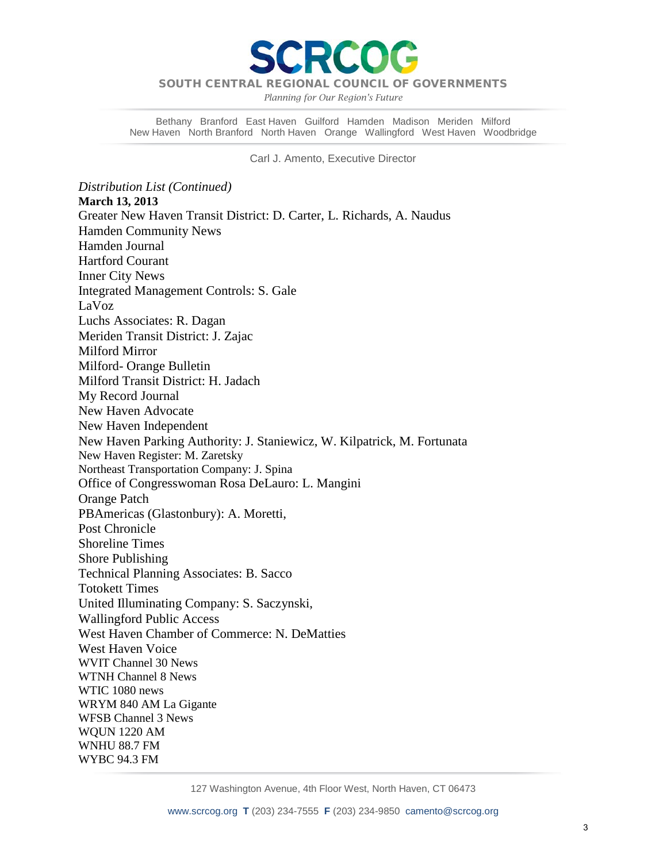

*Planning for Our Region's Future*

Bethany Branford East Haven Guilford Hamden Madison Meriden Milford New Haven North Branford North Haven Orange Wallingford West Haven Woodbridge

Carl J. Amento, Executive Director

*Distribution List (Continued)* **March 13, 2013**  Greater New Haven Transit District: D. Carter, L. Richards, A. Naudus Hamden Community News Hamden Journal Hartford Courant Inner City News Integrated Management Controls: S. Gale LaVoz Luchs Associates: R. Dagan Meriden Transit District: J. Zajac Milford Mirror Milford- Orange Bulletin Milford Transit District: H. Jadach My Record Journal New Haven Advocate New Haven Independent New Haven Parking Authority: J. Staniewicz, W. Kilpatrick, M. Fortunata New Haven Register: M. Zaretsky Northeast Transportation Company: J. Spina Office of Congresswoman Rosa DeLauro: L. Mangini Orange Patch PBAmericas (Glastonbury): A. Moretti, Post Chronicle Shoreline Times Shore Publishing Technical Planning Associates: B. Sacco Totokett Times United Illuminating Company: S. Saczynski, Wallingford Public Access West Haven Chamber of Commerce: N. DeMatties West Haven Voice WVIT Channel 30 News WTNH Channel 8 News WTIC 1080 news WRYM 840 AM La Gigante WFSB Channel 3 News WQUN 1220 AM WNHU 88.7 FM WYBC 94.3 FM

127 Washington Avenue, 4th Floor West, North Haven, CT 06473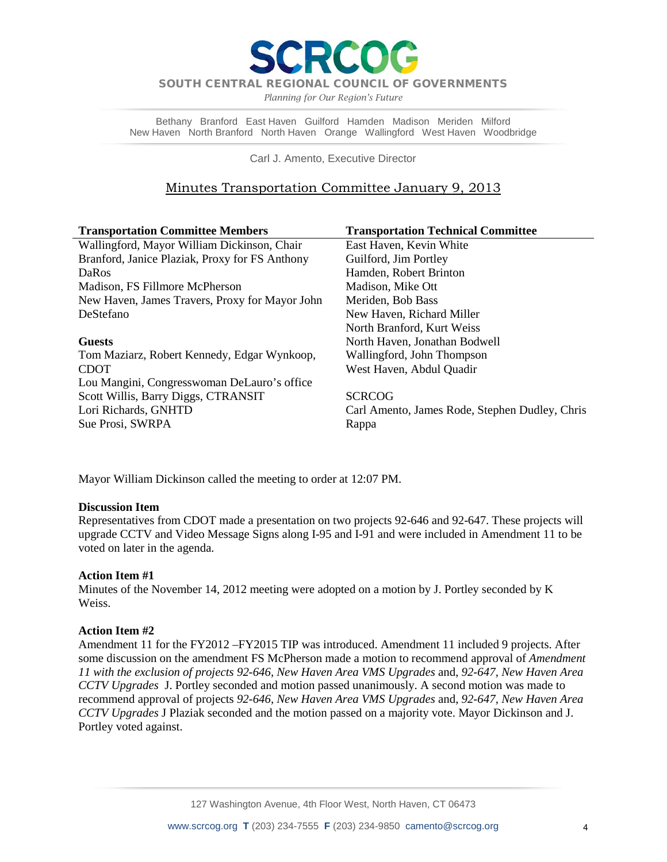*Planning for Our Region's Future*

Bethany Branford East Haven Guilford Hamden Madison Meriden Milford New Haven North Branford North Haven Orange Wallingford West Haven Woodbridge

Carl J. Amento, Executive Director

# Minutes Transportation Committee January 9, 2013

| <b>Transportation Committee Members</b>        | <b>Transportation Technical Committee</b>      |
|------------------------------------------------|------------------------------------------------|
| Wallingford, Mayor William Dickinson, Chair    | East Haven, Kevin White                        |
| Branford, Janice Plaziak, Proxy for FS Anthony | Guilford, Jim Portley                          |
| <b>DaRos</b>                                   | Hamden, Robert Brinton                         |
| Madison, FS Fillmore McPherson                 | Madison, Mike Ott                              |
| New Haven, James Travers, Proxy for Mayor John | Meriden, Bob Bass                              |
| DeStefano                                      | New Haven, Richard Miller                      |
|                                                | North Branford, Kurt Weiss                     |
| <b>Guests</b>                                  | North Haven, Jonathan Bodwell                  |
| Tom Maziarz, Robert Kennedy, Edgar Wynkoop,    | Wallingford, John Thompson                     |
| <b>CDOT</b>                                    | West Haven, Abdul Quadir                       |
| Lou Mangini, Congresswoman DeLauro's office    |                                                |
| Scott Willis, Barry Diggs, CTRANSIT            | <b>SCRCOG</b>                                  |
| Lori Richards, GNHTD                           | Carl Amento, James Rode, Stephen Dudley, Chris |
| Sue Prosi, SWRPA                               | Rappa                                          |

Mayor William Dickinson called the meeting to order at 12:07 PM.

### **Discussion Item**

Representatives from CDOT made a presentation on two projects 92-646 and 92-647. These projects will upgrade CCTV and Video Message Signs along I-95 and I-91 and were included in Amendment 11 to be voted on later in the agenda.

### **Action Item #1**

Minutes of the November 14, 2012 meeting were adopted on a motion by J. Portley seconded by K Weiss.

### **Action Item #2**

Amendment 11 for the FY2012 –FY2015 TIP was introduced. Amendment 11 included 9 projects. After some discussion on the amendment FS McPherson made a motion to recommend approval of *Amendment 11 with the exclusion of projects 92-646, New Haven Area VMS Upgrades* and, *92-647, New Haven Area CCTV Upgrades* J. Portley seconded and motion passed unanimously. A second motion was made to recommend approval of projects *92-646, New Haven Area VMS Upgrades* and, *92-647, New Haven Area CCTV Upgrades* J Plaziak seconded and the motion passed on a majority vote. Mayor Dickinson and J. Portley voted against.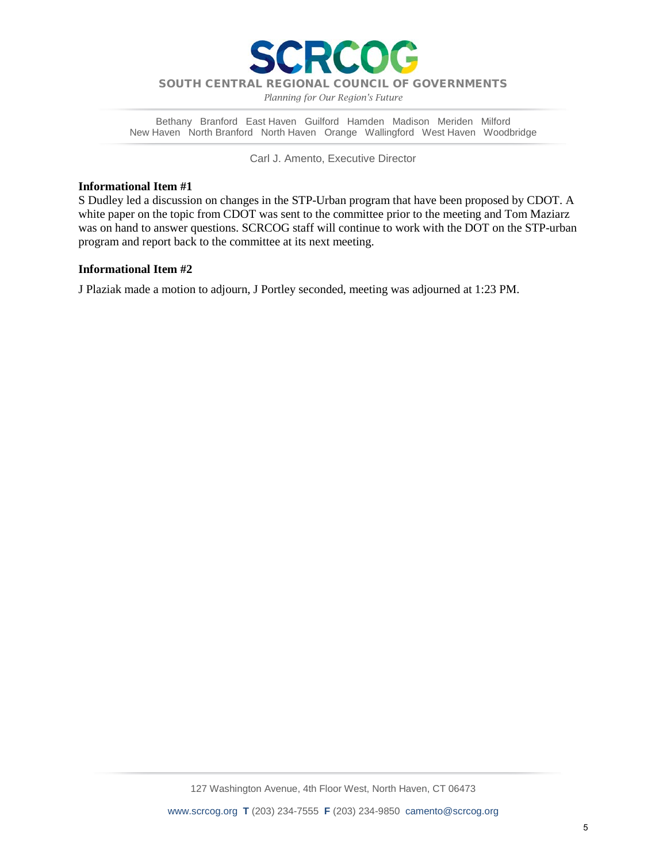

*Planning for Our Region's Future*

Bethany Branford East Haven Guilford Hamden Madison Meriden Milford New Haven North Branford North Haven Orange Wallingford West Haven Woodbridge

Carl J. Amento, Executive Director

#### **Informational Item #1**

S Dudley led a discussion on changes in the STP-Urban program that have been proposed by CDOT. A white paper on the topic from CDOT was sent to the committee prior to the meeting and Tom Maziarz was on hand to answer questions. SCRCOG staff will continue to work with the DOT on the STP-urban program and report back to the committee at its next meeting.

#### **Informational Item #2**

J Plaziak made a motion to adjourn, J Portley seconded, meeting was adjourned at 1:23 PM.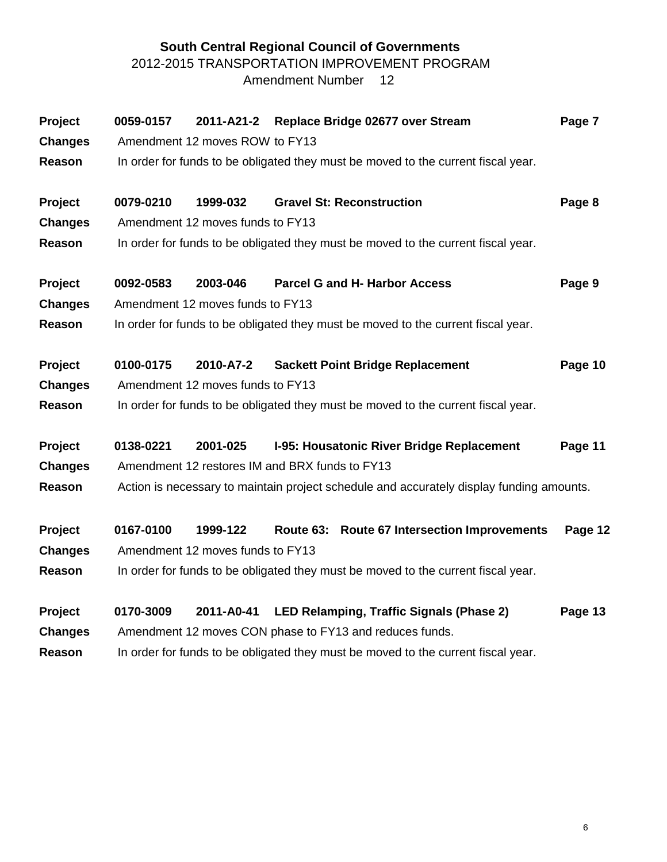# **South Central Regional Council of Governments** 2012-2015 TRANSPORTATION IMPROVEMENT PROGRAM Amendment Number 12

| Project        | 0059-0157                                                                         | 2011-A21-2                                     |           | Replace Bridge 02677 over Stream                                                         | Page 7  |  |  |  |  |  |
|----------------|-----------------------------------------------------------------------------------|------------------------------------------------|-----------|------------------------------------------------------------------------------------------|---------|--|--|--|--|--|
| <b>Changes</b> |                                                                                   | Amendment 12 moves ROW to FY13                 |           |                                                                                          |         |  |  |  |  |  |
| Reason         | In order for funds to be obligated they must be moved to the current fiscal year. |                                                |           |                                                                                          |         |  |  |  |  |  |
| Project        | 0079-0210                                                                         | 1999-032                                       |           | <b>Gravel St: Reconstruction</b>                                                         | Page 8  |  |  |  |  |  |
| <b>Changes</b> |                                                                                   | Amendment 12 moves funds to FY13               |           |                                                                                          |         |  |  |  |  |  |
| <b>Reason</b>  |                                                                                   |                                                |           | In order for funds to be obligated they must be moved to the current fiscal year.        |         |  |  |  |  |  |
| Project        | 0092-0583                                                                         | 2003-046                                       |           | <b>Parcel G and H- Harbor Access</b>                                                     | Page 9  |  |  |  |  |  |
| <b>Changes</b> |                                                                                   | Amendment 12 moves funds to FY13               |           |                                                                                          |         |  |  |  |  |  |
| Reason         |                                                                                   |                                                |           | In order for funds to be obligated they must be moved to the current fiscal year.        |         |  |  |  |  |  |
| Project        | 0100-0175                                                                         | 2010-A7-2                                      |           | <b>Sackett Point Bridge Replacement</b>                                                  | Page 10 |  |  |  |  |  |
| <b>Changes</b> |                                                                                   | Amendment 12 moves funds to FY13               |           |                                                                                          |         |  |  |  |  |  |
| <b>Reason</b>  |                                                                                   |                                                |           | In order for funds to be obligated they must be moved to the current fiscal year.        |         |  |  |  |  |  |
| Project        | 0138-0221                                                                         | 2001-025                                       |           | I-95: Housatonic River Bridge Replacement                                                | Page 11 |  |  |  |  |  |
| <b>Changes</b> |                                                                                   | Amendment 12 restores IM and BRX funds to FY13 |           |                                                                                          |         |  |  |  |  |  |
| Reason         |                                                                                   |                                                |           | Action is necessary to maintain project schedule and accurately display funding amounts. |         |  |  |  |  |  |
| Project        | 0167-0100                                                                         | 1999-122                                       | Route 63: | <b>Route 67 Intersection Improvements</b>                                                | Page 12 |  |  |  |  |  |
| <b>Changes</b> |                                                                                   | Amendment 12 moves funds to FY13               |           |                                                                                          |         |  |  |  |  |  |
| Reason         |                                                                                   |                                                |           | In order for funds to be obligated they must be moved to the current fiscal year.        |         |  |  |  |  |  |
| Project        | 0170-3009                                                                         | 2011-A0-41                                     |           | LED Relamping, Traffic Signals (Phase 2)                                                 | Page 13 |  |  |  |  |  |
| <b>Changes</b> |                                                                                   |                                                |           | Amendment 12 moves CON phase to FY13 and reduces funds.                                  |         |  |  |  |  |  |
| <b>Reason</b>  | In order for funds to be obligated they must be moved to the current fiscal year. |                                                |           |                                                                                          |         |  |  |  |  |  |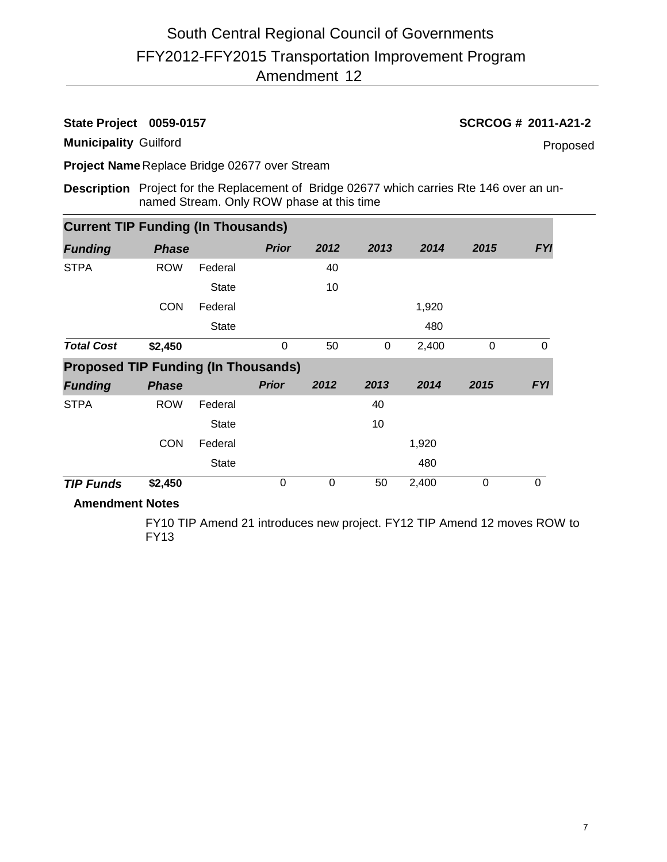# FFY2012-FFY2015 Transportation Improvement Program Amendment 12 South Central Regional Council of Governments

### **State Project 0059-0157 SCRCOG # 2011-A21-2**

**Municipality** Guilford

Proposed

**Project Name** Replace Bridge 02677 over Stream

**Description** Project for the Replacement of Bridge 02677 which carries Rte 146 over an unnamed Stream. Only ROW phase at this time

| <b>Current TIP Funding (In Thousands)</b>  |              |              |                  |                |      |       |          |             |
|--------------------------------------------|--------------|--------------|------------------|----------------|------|-------|----------|-------------|
| <b>Funding</b>                             | <b>Phase</b> |              | <b>Prior</b>     | 2012           | 2013 | 2014  | 2015     | <b>FYI</b>  |
| <b>STPA</b>                                | <b>ROW</b>   | Federal      |                  | 40             |      |       |          |             |
|                                            |              | <b>State</b> |                  | 10             |      |       |          |             |
|                                            | <b>CON</b>   | Federal      |                  |                |      | 1,920 |          |             |
|                                            |              | <b>State</b> |                  |                |      | 480   |          |             |
| <b>Total Cost</b>                          | \$2,450      |              | 0                | 50             | 0    | 2,400 | $\Omega$ | $\mathbf 0$ |
| <b>Proposed TIP Funding (In Thousands)</b> |              |              |                  |                |      |       |          |             |
| <b>Funding</b>                             | <b>Phase</b> |              | <b>Prior</b>     | 2012           | 2013 | 2014  | 2015     | <b>FYI</b>  |
| <b>STPA</b>                                | <b>ROW</b>   | Federal      |                  |                | 40   |       |          |             |
|                                            |              | <b>State</b> |                  |                | 10   |       |          |             |
|                                            | <b>CON</b>   | Federal      |                  |                |      | 1,920 |          |             |
|                                            |              | <b>State</b> |                  |                |      | 480   |          |             |
| <b>TIP Funds</b>                           | \$2,450      |              | $\boldsymbol{0}$ | $\overline{0}$ | 50   | 2,400 | $\Omega$ | $\Omega$    |

# **Amendment Notes**

FY10 TIP Amend 21 introduces new project. FY12 TIP Amend 12 moves ROW to FY13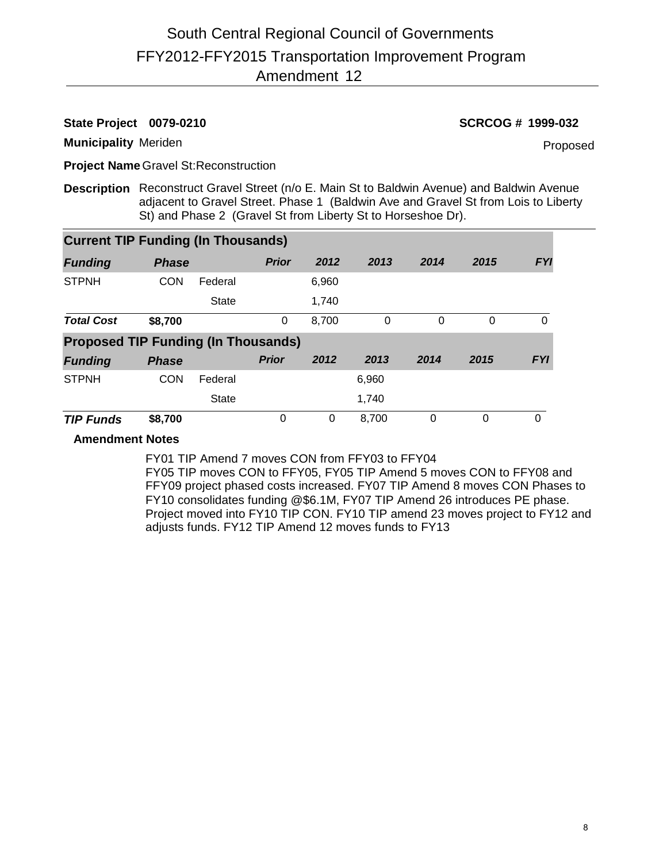# **State Project 0079-0210 SCRCOG # 1999-032**

**Municipality** Meriden

Proposed

**Project Name** Gravel St:Reconstruction

**Description** Reconstruct Gravel Street (n/o E. Main St to Baldwin Avenue) and Baldwin Avenue adjacent to Gravel Street. Phase 1 (Baldwin Ave and Gravel St from Lois to Liberty St) and Phase 2 (Gravel St from Liberty St to Horseshoe Dr).

| <b>Current TIP Funding (In Thousands)</b>  |              |              |              |       |       |      |      |            |
|--------------------------------------------|--------------|--------------|--------------|-------|-------|------|------|------------|
| <b>Funding</b>                             | <b>Phase</b> |              | <b>Prior</b> | 2012  | 2013  | 2014 | 2015 | <b>FYI</b> |
| <b>STPNH</b>                               | <b>CON</b>   | Federal      |              | 6,960 |       |      |      |            |
|                                            |              | <b>State</b> |              | 1,740 |       |      |      |            |
| <b>Total Cost</b>                          | \$8,700      |              | 0            | 8,700 | 0     | 0    | 0    | $\Omega$   |
| <b>Proposed TIP Funding (In Thousands)</b> |              |              |              |       |       |      |      |            |
| <b>Funding</b>                             | <b>Phase</b> |              | <b>Prior</b> | 2012  | 2013  | 2014 | 2015 | <b>FYI</b> |
| <b>STPNH</b>                               | <b>CON</b>   | Federal      |              |       | 6,960 |      |      |            |
|                                            |              | <b>State</b> |              |       | 1,740 |      |      |            |
| <b>TIP Funds</b>                           | \$8,700      |              | 0            | 0     | 8,700 | 0    | 0    | $\Omega$   |

### **Amendment Notes**

FY01 TIP Amend 7 moves CON from FFY03 to FFY04 FY05 TIP moves CON to FFY05, FY05 TIP Amend 5 moves CON to FFY08 and FFY09 project phased costs increased. FY07 TIP Amend 8 moves CON Phases to FY10 consolidates funding @\$6.1M, FY07 TIP Amend 26 introduces PE phase. Project moved into FY10 TIP CON. FY10 TIP amend 23 moves project to FY12 and adjusts funds. FY12 TIP Amend 12 moves funds to FY13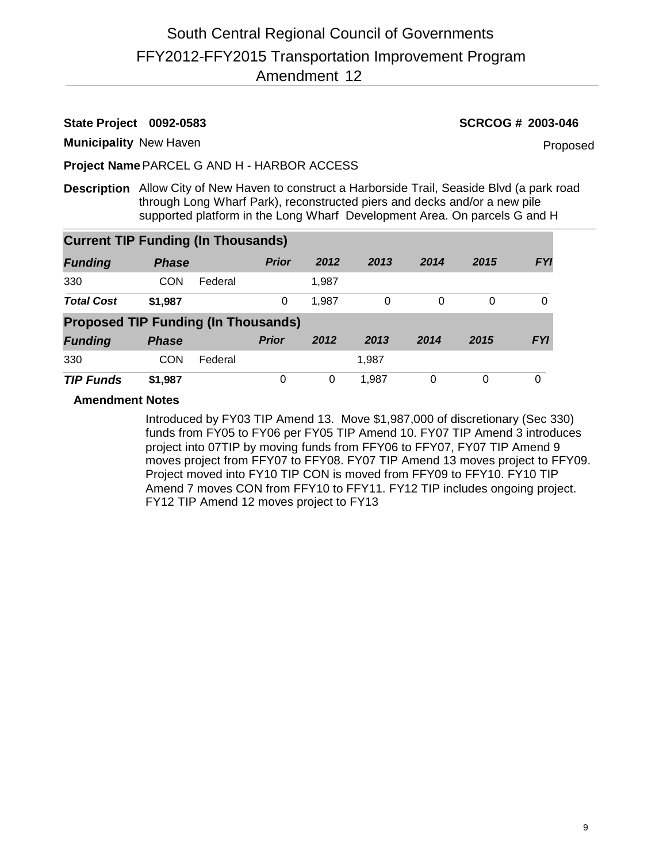**State Project 0092-0583 SCRCOG # 2003-046**

**Municipality** New Haven

Proposed

**Project Name**PARCEL G AND H - HARBOR ACCESS

**Description** Allow City of New Haven to construct a Harborside Trail, Seaside Blvd (a park road through Long Wharf Park), reconstructed piers and decks and/or a new pile supported platform in the Long Wharf Development Area. On parcels G and H

| <b>Current TIP Funding (In Thousands)</b>  |              |         |              |       |       |          |      |            |
|--------------------------------------------|--------------|---------|--------------|-------|-------|----------|------|------------|
| <b>Funding</b>                             | <b>Phase</b> |         | <b>Prior</b> | 2012  | 2013  | 2014     | 2015 | <b>FYI</b> |
| 330                                        | CON          | Federal |              | 1.987 |       |          |      |            |
| <b>Total Cost</b>                          | \$1,987      |         | 0            | 1,987 | 0     | $\Omega$ | 0    | 0          |
| <b>Proposed TIP Funding (In Thousands)</b> |              |         |              |       |       |          |      |            |
| <b>Funding</b>                             | <b>Phase</b> |         | <b>Prior</b> | 2012  | 2013  | 2014     | 2015 | <b>FYI</b> |
| 330                                        | CON          | Federal |              |       | 1,987 |          |      |            |
| <b>TIP Funds</b>                           | \$1,987      |         | 0            | 0     | 1.987 | 0        | 0    | 0          |

### **Amendment Notes**

Introduced by FY03 TIP Amend 13. Move \$1,987,000 of discretionary (Sec 330) funds from FY05 to FY06 per FY05 TIP Amend 10. FY07 TIP Amend 3 introduces project into 07TIP by moving funds from FFY06 to FFY07, FY07 TIP Amend 9 moves project from FFY07 to FFY08. FY07 TIP Amend 13 moves project to FFY09. Project moved into FY10 TIP CON is moved from FFY09 to FFY10. FY10 TIP Amend 7 moves CON from FFY10 to FFY11. FY12 TIP includes ongoing project. FY12 TIP Amend 12 moves project to FY13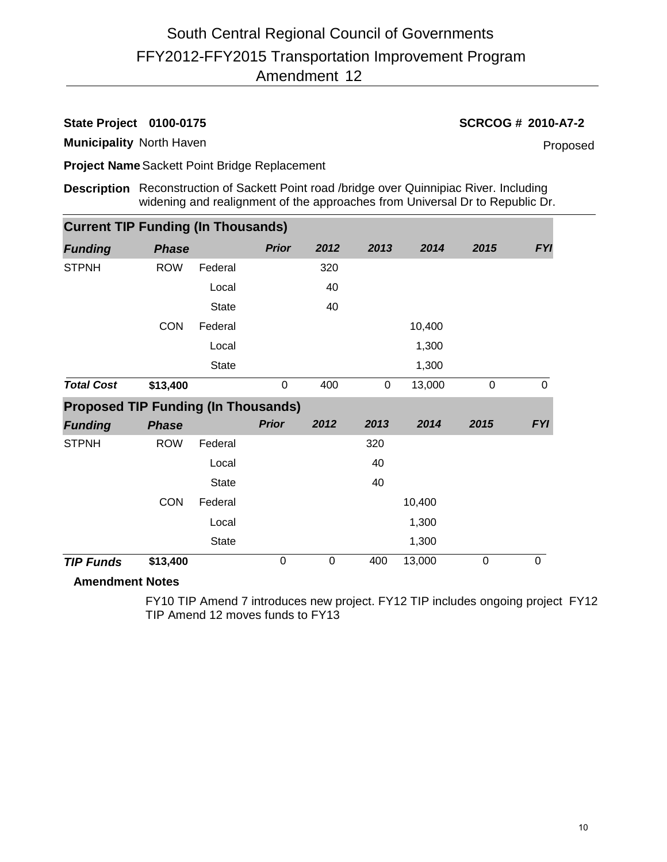**State Project 0100-0175 SCRCOG # 2010-A7-2**

**Municipality** North Haven

Proposed

**Project Name**Sackett Point Bridge Replacement

**Description** Reconstruction of Sackett Point road /bridge over Quinnipiac River. Including widening and realignment of the approaches from Universal Dr to Republic Dr.

| <b>Current TIP Funding (In Thousands)</b> |             |             |  |  |  |  |  |  |
|-------------------------------------------|-------------|-------------|--|--|--|--|--|--|
| 2013<br>2014                              | 2015        | <b>FYI</b>  |  |  |  |  |  |  |
|                                           |             |             |  |  |  |  |  |  |
|                                           |             |             |  |  |  |  |  |  |
|                                           |             |             |  |  |  |  |  |  |
| 10,400                                    |             |             |  |  |  |  |  |  |
| 1,300                                     |             |             |  |  |  |  |  |  |
| 1,300                                     |             |             |  |  |  |  |  |  |
| 13,000                                    | $\mathbf 0$ | $\mathbf 0$ |  |  |  |  |  |  |
|                                           |             |             |  |  |  |  |  |  |
|                                           |             |             |  |  |  |  |  |  |
| 2014                                      | 2015        | <b>FYI</b>  |  |  |  |  |  |  |
|                                           |             |             |  |  |  |  |  |  |
|                                           |             |             |  |  |  |  |  |  |
|                                           |             |             |  |  |  |  |  |  |
| 10,400                                    |             |             |  |  |  |  |  |  |
| 1,300                                     |             |             |  |  |  |  |  |  |
| 1,300                                     |             |             |  |  |  |  |  |  |
|                                           |             |             |  |  |  |  |  |  |

### **Amendment Notes**

FY10 TIP Amend 7 introduces new project. FY12 TIP includes ongoing project FY12 TIP Amend 12 moves funds to FY13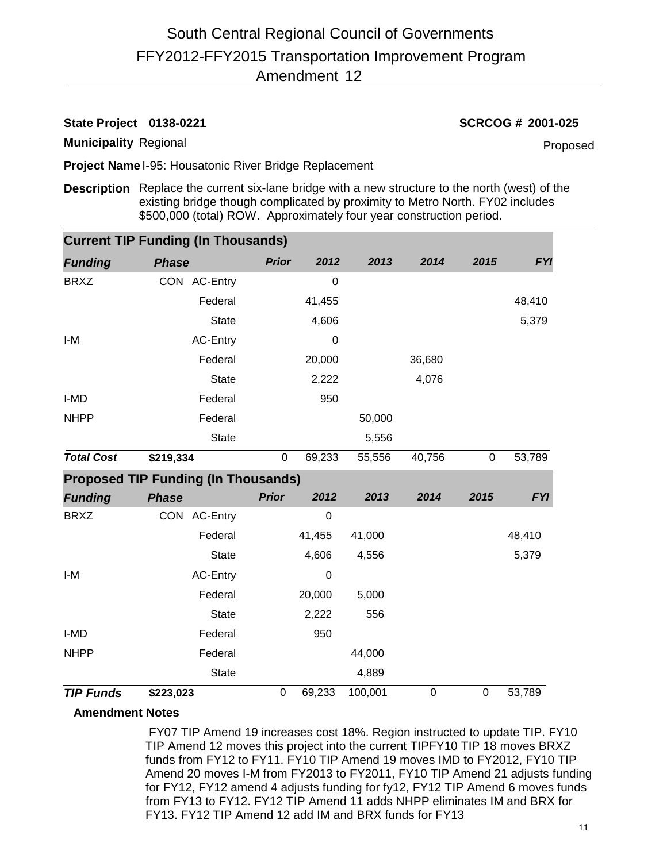# **State Project 0138-0221 SCRCOG # 2001-025**

**Municipality** Regional

Proposed

**Project Name** I-95: Housatonic River Bridge Replacement

**Description** Replace the current six-lane bridge with a new structure to the north (west) of the existing bridge though complicated by proximity to Metro North. FY02 includes \$500,000 (total) ROW. Approximately four year construction period.

|                   | <b>Current TIP Funding (In Thousands)</b>  |                  |                  |         |                  |             |            |
|-------------------|--------------------------------------------|------------------|------------------|---------|------------------|-------------|------------|
| <b>Funding</b>    | <b>Phase</b>                               | <b>Prior</b>     | 2012             | 2013    | 2014             | 2015        | <b>FYI</b> |
| <b>BRXZ</b>       | CON AC-Entry                               |                  | $\overline{0}$   |         |                  |             |            |
|                   | Federal                                    |                  | 41,455           |         |                  |             | 48,410     |
|                   | <b>State</b>                               |                  | 4,606            |         |                  |             | 5,379      |
| I-M               | <b>AC-Entry</b>                            |                  | $\Omega$         |         |                  |             |            |
|                   | Federal                                    |                  | 20,000           |         | 36,680           |             |            |
|                   | <b>State</b>                               |                  | 2,222            |         | 4,076            |             |            |
| I-MD              | Federal                                    |                  | 950              |         |                  |             |            |
| <b>NHPP</b>       | Federal                                    |                  |                  | 50,000  |                  |             |            |
|                   | <b>State</b>                               |                  |                  | 5,556   |                  |             |            |
| <b>Total Cost</b> | \$219,334                                  | $\boldsymbol{0}$ | 69,233           | 55,556  | 40,756           | $\pmb{0}$   | 53,789     |
|                   | <b>Proposed TIP Funding (In Thousands)</b> |                  |                  |         |                  |             |            |
| <b>Funding</b>    | <b>Phase</b>                               | <b>Prior</b>     | 2012             | 2013    | 2014             | 2015        | <b>FYI</b> |
| <b>BRXZ</b>       | CON AC-Entry                               |                  | $\boldsymbol{0}$ |         |                  |             |            |
|                   | Federal                                    |                  | 41,455           | 41,000  |                  |             | 48,410     |
|                   | <b>State</b>                               |                  | 4,606            | 4,556   |                  |             | 5,379      |
| $I-M$             | AC-Entry                                   |                  | $\mathbf 0$      |         |                  |             |            |
|                   | Federal                                    |                  | 20,000           | 5,000   |                  |             |            |
|                   | <b>State</b>                               |                  | 2,222            | 556     |                  |             |            |
| I-MD              | Federal                                    |                  | 950              |         |                  |             |            |
| <b>NHPP</b>       | Federal                                    |                  |                  | 44,000  |                  |             |            |
|                   | <b>State</b>                               |                  |                  | 4,889   |                  |             |            |
| <b>TIP Funds</b>  | \$223,023                                  | $\mathbf 0$      | 69,233           | 100,001 | $\boldsymbol{0}$ | $\mathbf 0$ | 53,789     |

# **Amendment Notes**

 FY07 TIP Amend 19 increases cost 18%. Region instructed to update TIP. FY10 TIP Amend 12 moves this project into the current TIPFY10 TIP 18 moves BRXZ funds from FY12 to FY11. FY10 TIP Amend 19 moves IMD to FY2012, FY10 TIP Amend 20 moves I-M from FY2013 to FY2011, FY10 TIP Amend 21 adjusts funding for FY12, FY12 amend 4 adjusts funding for fy12, FY12 TIP Amend 6 moves funds from FY13 to FY12. FY12 TIP Amend 11 adds NHPP eliminates IM and BRX for FY13. FY12 TIP Amend 12 add IM and BRX funds for FY13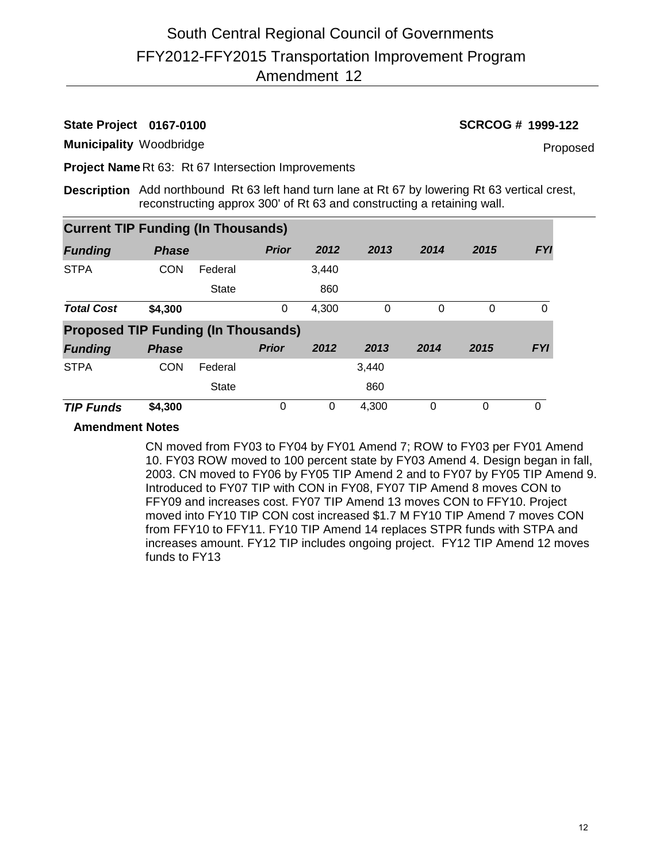# **State Project 0167-0100 SCRCOG # 1999-122**

**Municipality** Woodbridge

Proposed

**Project Name** Rt 63: Rt 67 Intersection Improvements

**Description** Add northbound Rt 63 left hand turn lane at Rt 67 by lowering Rt 63 vertical crest, reconstructing approx 300' of Rt 63 and constructing a retaining wall.

| <b>Current TIP Funding (In Thousands)</b>  |              |              |              |       |       |          |      |            |
|--------------------------------------------|--------------|--------------|--------------|-------|-------|----------|------|------------|
| <b>Funding</b>                             | <b>Phase</b> |              | <b>Prior</b> | 2012  | 2013  | 2014     | 2015 | <b>FYI</b> |
| <b>STPA</b>                                | <b>CON</b>   | Federal      |              | 3,440 |       |          |      |            |
|                                            |              | <b>State</b> |              | 860   |       |          |      |            |
| <b>Total Cost</b>                          | \$4,300      |              | 0            | 4,300 | 0     | $\Omega$ | 0    | 0          |
| <b>Proposed TIP Funding (In Thousands)</b> |              |              |              |       |       |          |      |            |
| <b>Funding</b>                             | <b>Phase</b> |              | <b>Prior</b> | 2012  | 2013  | 2014     | 2015 | <b>FYI</b> |
| <b>STPA</b>                                | <b>CON</b>   | Federal      |              |       | 3,440 |          |      |            |
|                                            |              | <b>State</b> |              |       | 860   |          |      |            |
| <b>TIP Funds</b>                           | \$4,300      |              | 0            | 0     | 4.300 | 0        | 0    | 0          |

## **Amendment Notes**

CN moved from FY03 to FY04 by FY01 Amend 7; ROW to FY03 per FY01 Amend 10. FY03 ROW moved to 100 percent state by FY03 Amend 4. Design began in fall, 2003. CN moved to FY06 by FY05 TIP Amend 2 and to FY07 by FY05 TIP Amend 9. Introduced to FY07 TIP with CON in FY08, FY07 TIP Amend 8 moves CON to FFY09 and increases cost. FY07 TIP Amend 13 moves CON to FFY10. Project moved into FY10 TIP CON cost increased \$1.7 M FY10 TIP Amend 7 moves CON from FFY10 to FFY11. FY10 TIP Amend 14 replaces STPR funds with STPA and increases amount. FY12 TIP includes ongoing project. FY12 TIP Amend 12 moves funds to FY13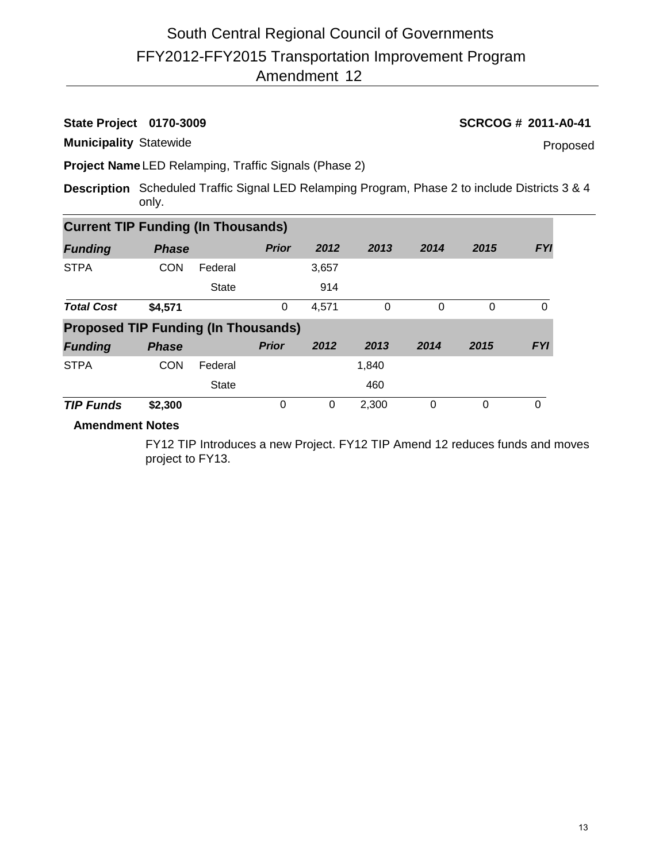# FFY2012-FFY2015 Transportation Improvement Program Amendment 12 South Central Regional Council of Governments

**State Project 0170-3009 SCRCOG # 2011-A0-41**

**Municipality** Statewide

Proposed

**Project Name** LED Relamping, Traffic Signals (Phase 2)

**Description** Scheduled Traffic Signal LED Relamping Program, Phase 2 to include Districts 3 & 4 only.

| <b>Current TIP Funding (In Thousands)</b>  |              |              |              |       |       |          |          |            |
|--------------------------------------------|--------------|--------------|--------------|-------|-------|----------|----------|------------|
| <b>Funding</b>                             | <b>Phase</b> |              | <b>Prior</b> | 2012  | 2013  | 2014     | 2015     | <b>FYI</b> |
| <b>STPA</b>                                | <b>CON</b>   | Federal      |              | 3,657 |       |          |          |            |
|                                            |              | <b>State</b> |              | 914   |       |          |          |            |
| <b>Total Cost</b>                          | \$4,571      |              | 0            | 4,571 | 0     | $\Omega$ | $\Omega$ | 0          |
| <b>Proposed TIP Funding (In Thousands)</b> |              |              |              |       |       |          |          |            |
| <b>Funding</b>                             | <b>Phase</b> |              | <b>Prior</b> | 2012  | 2013  | 2014     | 2015     | <b>FYI</b> |
| <b>STPA</b>                                | <b>CON</b>   | Federal      |              |       | 1,840 |          |          |            |
|                                            |              | <b>State</b> |              |       | 460   |          |          |            |
| <b>TIP Funds</b>                           | \$2,300      |              | 0            | 0     | 2,300 | 0        | $\Omega$ | $\Omega$   |

# **Amendment Notes**

FY12 TIP Introduces a new Project. FY12 TIP Amend 12 reduces funds and moves project to FY13.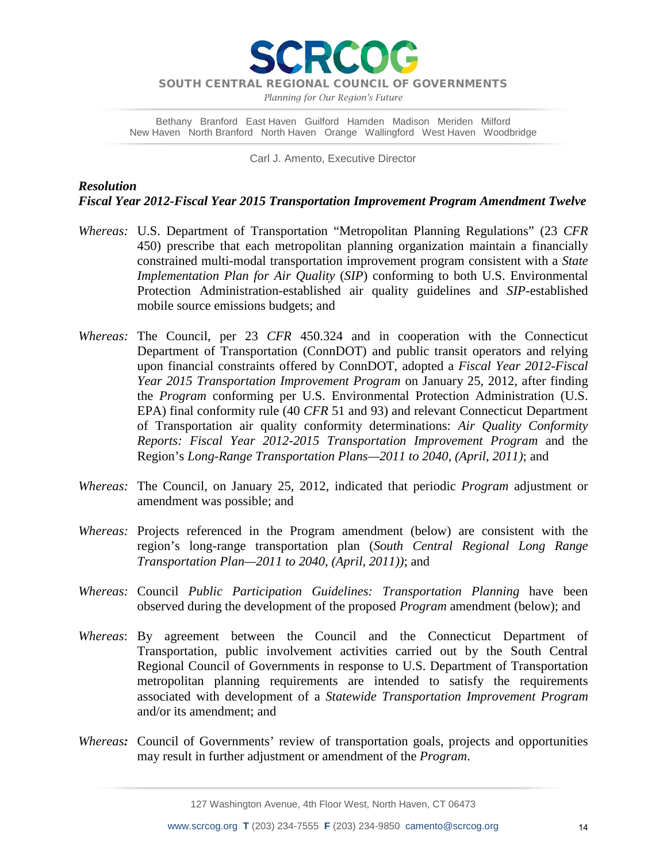

*Planning for Our Region's Future*

Bethany Branford East Haven Guilford Hamden Madison Meriden Milford New Haven North Branford North Haven Orange Wallingford West Haven Woodbridge

Carl J. Amento, Executive Director

# *Resolution Fiscal Year 2012-Fiscal Year 2015 Transportation Improvement Program Amendment Twelve*

- *Whereas:* U.S. Department of Transportation "Metropolitan Planning Regulations" (23 *CFR* 450) prescribe that each metropolitan planning organization maintain a financially constrained multi-modal transportation improvement program consistent with a *State Implementation Plan for Air Quality* (*SIP*) conforming to both U.S. Environmental Protection Administration-established air quality guidelines and *SIP*-established mobile source emissions budgets; and
- *Whereas:* The Council, per 23 *CFR* 450.324 and in cooperation with the Connecticut Department of Transportation (ConnDOT) and public transit operators and relying upon financial constraints offered by ConnDOT, adopted a *Fiscal Year 2012-Fiscal Year 2015 Transportation Improvement Program* on January 25, 2012, after finding the *Program* conforming per U.S. Environmental Protection Administration (U.S. EPA) final conformity rule (40 *CFR* 51 and 93) and relevant Connecticut Department of Transportation air quality conformity determinations: *Air Quality Conformity Reports: Fiscal Year 2012-2015 Transportation Improvement Program* and the Region's *Long-Range Transportation Plans—2011 to 2040, (April, 2011)*; and
- *Whereas:* The Council, on January 25, 2012, indicated that periodic *Program* adjustment or amendment was possible; and
- *Whereas:* Projects referenced in the Program amendment (below) are consistent with the region's long-range transportation plan (*South Central Regional Long Range Transportation Plan—2011 to 2040, (April, 2011))*; and
- *Whereas:* Council *Public Participation Guidelines: Transportation Planning* have been observed during the development of the proposed *Program* amendment (below); and
- *Whereas*: By agreement between the Council and the Connecticut Department of Transportation, public involvement activities carried out by the South Central Regional Council of Governments in response to U.S. Department of Transportation metropolitan planning requirements are intended to satisfy the requirements associated with development of a *Statewide Transportation Improvement Program* and/or its amendment; and
- *Whereas:* Council of Governments' review of transportation goals, projects and opportunities may result in further adjustment or amendment of the *Program*.

127 Washington Avenue, 4th Floor West, North Haven, CT 06473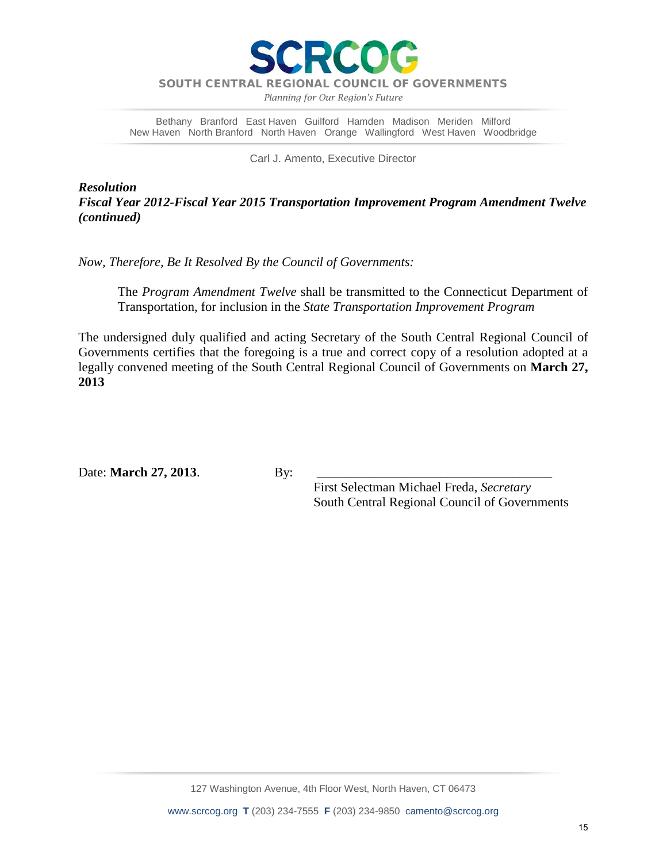

*Planning for Our Region's Future*

Bethany Branford East Haven Guilford Hamden Madison Meriden Milford New Haven North Branford North Haven Orange Wallingford West Haven Woodbridge

Carl J. Amento, Executive Director

*Resolution Fiscal Year 2012-Fiscal Year 2015 Transportation Improvement Program Amendment Twelve (continued)*

*Now, Therefore, Be It Resolved By the Council of Governments:*

The *Program Amendment Twelve* shall be transmitted to the Connecticut Department of Transportation, for inclusion in the *State Transportation Improvement Program*

The undersigned duly qualified and acting Secretary of the South Central Regional Council of Governments certifies that the foregoing is a true and correct copy of a resolution adopted at a legally convened meeting of the South Central Regional Council of Governments on **March 27, 2013**

Date: **March 27, 2013**. By:

 First Selectman Michael Freda, *Secretary* South Central Regional Council of Governments